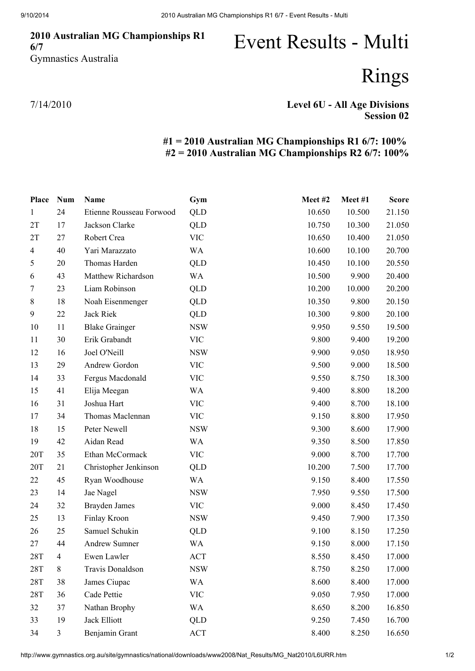## 2010 Australian MG Championships R1 6/7 Gymnastics Australia

## Event Results - Multi

Rings

7/14/2010

## Level 6U - All Age Divisions Session 02

## #1 = 2010 Australian MG Championships R1 6/7: 100% #2 = 2010 Australian MG Championships R2 6/7: 100%

| Place          | <b>Num</b>     | Name                     | Gym        | Meet#2 | Meet #1 | <b>Score</b> |
|----------------|----------------|--------------------------|------------|--------|---------|--------------|
| $\mathbf{1}$   | 24             | Etienne Rousseau Forwood | <b>QLD</b> | 10.650 | 10.500  | 21.150       |
| 2T             | 17             | Jackson Clarke           | <b>QLD</b> | 10.750 | 10.300  | 21.050       |
| 2T             | 27             | Robert Crea              | <b>VIC</b> | 10.650 | 10.400  | 21.050       |
| $\overline{4}$ | 40             | Yari Marazzato           | WA         | 10.600 | 10.100  | 20.700       |
| 5              | 20             | Thomas Harden            | QLD        | 10.450 | 10.100  | 20.550       |
| 6              | 43             | Matthew Richardson       | WA         | 10.500 | 9.900   | 20.400       |
| 7              | 23             | Liam Robinson            | <b>QLD</b> | 10.200 | 10.000  | 20.200       |
| $\,8\,$        | 18             | Noah Eisenmenger         | QLD        | 10.350 | 9.800   | 20.150       |
| 9              | 22             | Jack Riek                | QLD        | 10.300 | 9.800   | 20.100       |
| 10             | 11             | <b>Blake Grainger</b>    | <b>NSW</b> | 9.950  | 9.550   | 19.500       |
| 11             | 30             | Erik Grabandt            | <b>VIC</b> | 9.800  | 9.400   | 19.200       |
| 12             | 16             | Joel O'Neill             | <b>NSW</b> | 9.900  | 9.050   | 18.950       |
| 13             | 29             | Andrew Gordon            | <b>VIC</b> | 9.500  | 9.000   | 18.500       |
| 14             | 33             | Fergus Macdonald         | <b>VIC</b> | 9.550  | 8.750   | 18.300       |
| 15             | 41             | Elija Meegan             | WA         | 9.400  | 8.800   | 18.200       |
| 16             | 31             | Joshua Hart              | <b>VIC</b> | 9.400  | 8.700   | 18.100       |
| 17             | 34             | Thomas Maclennan         | <b>VIC</b> | 9.150  | 8.800   | 17.950       |
| 18             | 15             | Peter Newell             | <b>NSW</b> | 9.300  | 8.600   | 17.900       |
| 19             | 42             | Aidan Read               | WA         | 9.350  | 8.500   | 17.850       |
| 20T            | 35             | Ethan McCormack          | <b>VIC</b> | 9.000  | 8.700   | 17.700       |
| 20T            | 21             | Christopher Jenkinson    | QLD        | 10.200 | 7.500   | 17.700       |
| 22             | 45             | Ryan Woodhouse           | WA         | 9.150  | 8.400   | 17.550       |
| 23             | 14             | Jae Nagel                | <b>NSW</b> | 7.950  | 9.550   | 17.500       |
| 24             | 32             | <b>Brayden James</b>     | <b>VIC</b> | 9.000  | 8.450   | 17.450       |
| 25             | 13             | Finlay Kroon             | <b>NSW</b> | 9.450  | 7.900   | 17.350       |
| 26             | 25             | Samuel Schukin           | QLD        | 9.100  | 8.150   | 17.250       |
| 27             | 44             | <b>Andrew Sumner</b>     | <b>WA</b>  | 9.150  | 8.000   | 17.150       |
| 28T            | $\overline{4}$ | Ewen Lawler              | ACT        | 8.550  | 8.450   | 17.000       |
| 28T            | 8              | Travis Donaldson         | <b>NSW</b> | 8.750  | 8.250   | 17.000       |
| 28T            | 38             | James Ciupac             | WA         | 8.600  | 8.400   | 17.000       |
| 28T            | 36             | Cade Pettie              | <b>VIC</b> | 9.050  | 7.950   | 17.000       |
| 32             | 37             | Nathan Brophy            | WA         | 8.650  | 8.200   | 16.850       |
| 33             | 19             | Jack Elliott             | QLD        | 9.250  | 7.450   | 16.700       |
| 34             | $\mathfrak{Z}$ | Benjamin Grant           | ACT        | 8.400  | 8.250   | 16.650       |